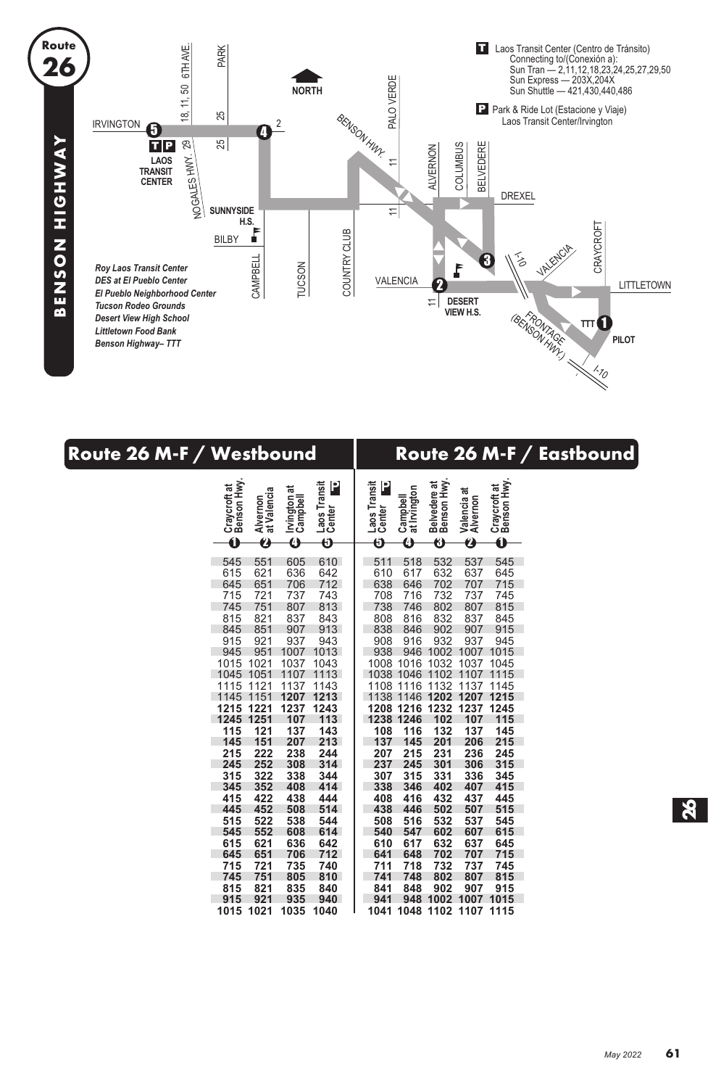

| Route 26 M-F / Westbound                                                                                                                                                                                                                                                                                                                                                                                                                                                                                                                                                                                                                                                                                                                | Route 26 M-F / Eastbound                                                                                                                                                                                                                                                                                                                                                                                                                                                                                                                                                                                                                                                                                                                                                                                                                                               |
|-----------------------------------------------------------------------------------------------------------------------------------------------------------------------------------------------------------------------------------------------------------------------------------------------------------------------------------------------------------------------------------------------------------------------------------------------------------------------------------------------------------------------------------------------------------------------------------------------------------------------------------------------------------------------------------------------------------------------------------------|------------------------------------------------------------------------------------------------------------------------------------------------------------------------------------------------------------------------------------------------------------------------------------------------------------------------------------------------------------------------------------------------------------------------------------------------------------------------------------------------------------------------------------------------------------------------------------------------------------------------------------------------------------------------------------------------------------------------------------------------------------------------------------------------------------------------------------------------------------------------|
| Craycroft at<br>Benson Hwy.<br>Laos Transit<br>Center<br>P<br>ಕ<br>Alvernon<br>at Valencia<br>Irvington a<br>Campbell<br>0<br>$\boldsymbol{\Theta}$<br>Ø<br>$\bf{o}$                                                                                                                                                                                                                                                                                                                                                                                                                                                                                                                                                                    | Belvedere at<br>Benson Hwy.<br>Craycroft at<br>Benson Hwy.<br>Laos Transit<br>Center<br>P<br>Campbell<br>at Irvington<br>Valencia at<br>Alvernon<br>Ô<br>Ø<br>$\bullet$<br>6<br>O                                                                                                                                                                                                                                                                                                                                                                                                                                                                                                                                                                                                                                                                                      |
| 551<br>610<br>545<br>605<br>621<br>615<br>636<br>642<br>712<br>645<br>651<br>706<br>715<br>721<br>737<br>743<br>745<br>813<br>751<br>807<br>815<br>821<br>837<br>843<br>845<br>851<br>907<br>913<br>915<br>921<br>937<br>943<br>945<br>951<br>1007<br>1013<br>1015<br>1021<br>1037<br>1043<br>1045<br>1051<br>1107 1113<br>1137<br>1143<br>1115<br>1121<br>1207<br>1213<br>1145<br>1151<br>1215 1221<br>1237<br>1243<br>1245 1251<br>107<br>113<br>115<br>121<br>137<br>143<br>145<br>151<br>207<br>213<br>215<br>222<br>238<br>244<br>252<br>314<br>245<br>308<br>315<br>322<br>338<br>344<br>345<br>352<br>408<br>414<br>415<br>422<br>444<br>438<br>452<br>445<br>508<br>514<br>515<br>522<br>538<br>544<br>552<br>545<br>608<br>614 | 532<br>537<br>511<br>518<br>545<br>632<br>610<br>617<br>637<br>645<br>638<br>646<br>702<br>707<br>715<br>708<br>716<br>732<br>737<br>745<br>738<br>802<br>807<br>746<br>815<br>808<br>832<br>837<br>816<br>845<br>838<br>846<br>902<br>907<br>915<br>908<br>932<br>937<br>916<br>945<br>938<br>946 1002<br>1007 1015<br>1008 1016 1032 1037 1045<br>1038 1046 1102 1107 1115<br>1108 1116 1132<br>1137<br>1145<br>1138 1146 1202 1207 1215<br>1208 1216 1232 1237 1245<br>1238 1246<br>102<br>107<br>115<br>108<br>116<br>132<br>137<br>145<br>137<br>145<br>201<br>206<br>215<br>207<br>215<br>231<br>236<br>245<br>237<br>245<br>301<br>306<br>315<br>307<br>315<br>331<br>336<br>345<br>338<br>346<br>402<br>407<br>415<br>408<br>416<br>432<br>437<br>445<br>438<br>446<br>502<br>507<br>515<br>508<br>516<br>532<br>537<br>545<br>540<br>547<br>602<br>607<br>615 |
| 615<br>621<br>636<br>642<br>645<br>651<br>712<br>706<br>715<br>721<br>735<br>740<br>745<br>751<br>805<br>810<br>815<br>821<br>835<br>840<br>915<br>921<br>935<br>940<br>1015 1021<br>1035<br>1040                                                                                                                                                                                                                                                                                                                                                                                                                                                                                                                                       | 610<br>617<br>632<br>637<br>645<br>702<br>707<br>715<br>641<br>648<br>732<br>737<br>711<br>718<br>745<br>741<br>748<br>802<br>807<br>815<br>902<br>907<br>841<br>848<br>915<br>948 1002<br>1007 1015<br>941<br>1041 1048 1102 1107 1115                                                                                                                                                                                                                                                                                                                                                                                                                                                                                                                                                                                                                                |

**26**